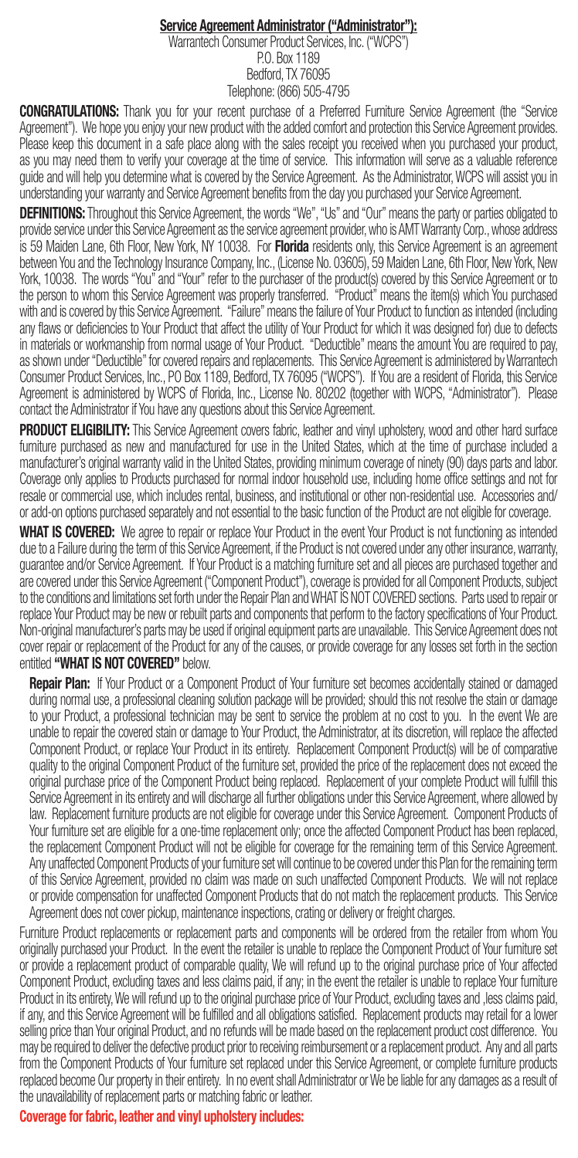## Service Agreement Administrator ("Administrator"):

Warrantech Consumer Product Services, Inc. ("WCPS") P.O. Box 1189 Bedford, TX 76095 Telephone: (866) 505-4795

CONGRATULATIONS: Thank you for your recent purchase of a Preferred Furniture Service Agreement (the "Service Agreement"). We hope you enjoy your new product with the added comfort and protection this Service Agreement provides. Please keep this document in a safe place along with the sales receipt you received when you purchased your product, as you may need them to verify your coverage at the time of service. This information will serve as a valuable reference guide and will help you determine what is covered by the Service Agreement. As the Administrator, WCPS will assist you in understanding your warranty and Service Agreement benefits from the day you purchased your Service Agreement.

DEFINITIONS: Throughout this Service Agreement, the words "We", "Us" and "Our" means the party or parties obligated to provide service under this Service Agreement as the service agreement provider, who is AMT Warranty Corp., whose address is 59 Maiden Lane, 6th Floor, New York, NY 10038. For Florida residents only, this Service Agreement is an agreement between You and the Technology Insurance Company, Inc., (License No. 03605), 59 Maiden Lane, 6th Floor, New York, New York, 10038. The words "You" and "Your" refer to the purchaser of the product(s) covered by this Service Agreement or to the person to whom this Service Agreement was properly transferred. "Product" means the item(s) which You purchased with and is covered by this Service Agreement. "Failure" means the failure of Your Product to function as intended (including any flaws or deficiencies to Your Product that affect the utility of Your Product for which it was designed for) due to defects in materials or workmanship from normal usage of Your Product. "Deductible" means the amount You are required to pay, as shown under "Deductible" for covered repairs and replacements. This Service Agreement is administered by Warrantech Consumer Product Services, Inc., PO Box 1189, Bedford, TX 76095 ("WCPS"). If You are a resident of Florida, this Service Agreement is administered by WCPS of Florida, Inc., License No. 80202 (together with WCPS, "Administrator"). Please contact the Administrator if You have any questions about this Service Agreement.

PRODUCT ELIGIBILITY: This Service Agreement covers fabric, leather and vinyl upholstery, wood and other hard surface furniture purchased as new and manufactured for use in the United States, which at the time of purchase included a manufacturer's original warranty valid in the United States, providing minimum coverage of ninety (90) days parts and labor. Coverage only applies to Products purchased for normal indoor household use, including home office settings and not for resale or commercial use, which includes rental, business, and institutional or other non-residential use. Accessories and/ or add-on options purchased separately and not essential to the basic function of the Product are not eligible for coverage.

WHAT IS COVERED: We agree to repair or replace Your Product in the event Your Product is not functioning as intended due to a Failure during the term of this Service Agreement, if the Product is not covered under any other insurance, warranty, guarantee and/or Service Agreement. If Your Product is a matching furniture set and all pieces are purchased together and are covered under this Service Agreement ("Component Product"), coverage is provided for all Component Products, subject to the conditions and limitations set forth under the Repair Plan and WHAT IS NOT COVERED sections. Parts used to repair or replace Your Product may be new or rebuilt parts and components that perform to the factory specifications of Your Product. Non-original manufacturer's parts may be used if original equipment parts are unavailable. This Service Agreement does not cover repair or replacement of the Product for any of the causes, or provide coverage for any losses set forth in the section entitled "WHAT IS NOT COVERED" below.

**Repair Plan:** If Your Product or a Component Product of Your furniture set becomes accidentally stained or damaged during normal use, a professional cleaning solution package will be provided; should this not resolve the stain or damage to your Product, a professional technician may be sent to service the problem at no cost to you. In the event We are unable to repair the covered stain or damage to Your Product, the Administrator, at its discretion, will replace the affected Component Product, or replace Your Product in its entirety. Replacement Component Product(s) will be of comparative quality to the original Component Product of the furniture set, provided the price of the replacement does not exceed the original purchase price of the Component Product being replaced. Replacement of your complete Product will fulfill this Service Agreement in its entirety and will discharge all further obligations under this Service Agreement, where allowed by law. Replacement furniture products are not eligible for coverage under this Service Agreement. Component Products of Your furniture set are eligible for a one-time replacement only; once the affected Component Product has been replaced, the replacement Component Product will not be eligible for coverage for the remaining term of this Service Agreement. Any unaffected Component Products of your furniture set will continue to be covered under this Plan for the remaining term of this Service Agreement, provided no claim was made on such unaffected Component Products. We will not replace or provide compensation for unaffected Component Products that do not match the replacement products. This Service Agreement does not cover pickup, maintenance inspections, crating or delivery or freight charges.

Furniture Product replacements or replacement parts and components will be ordered from the retailer from whom You originally purchased your Product. In the event the retailer is unable to replace the Component Product of Your furniture set or provide a replacement product of comparable quality, We will refund up to the original purchase price of Your affected Component Product, excluding taxes and less claims paid, if any; in the event the retailer is unable to replace Your furniture Product in its entirety, We will refund up to the original purchase price of Your Product, excluding taxes and ,less claims paid, if any, and this Service Agreement will be fulfilled and all obligations satisfied. Replacement products may retail for a lower selling price than Your original Product, and no refunds will be made based on the replacement product cost difference. You may be required to deliver the defective product prior to receiving reimbursement or a replacement product. Any and all parts from the Component Products of Your furniture set replaced under this Service Agreement, or complete furniture products replaced become Our property in their entirety. In no event shall Administrator or We be liable for any damages as a result of the unavailability of replacement parts or matching fabric or leather.

Coverage for fabric, leather and vinyl upholstery includes: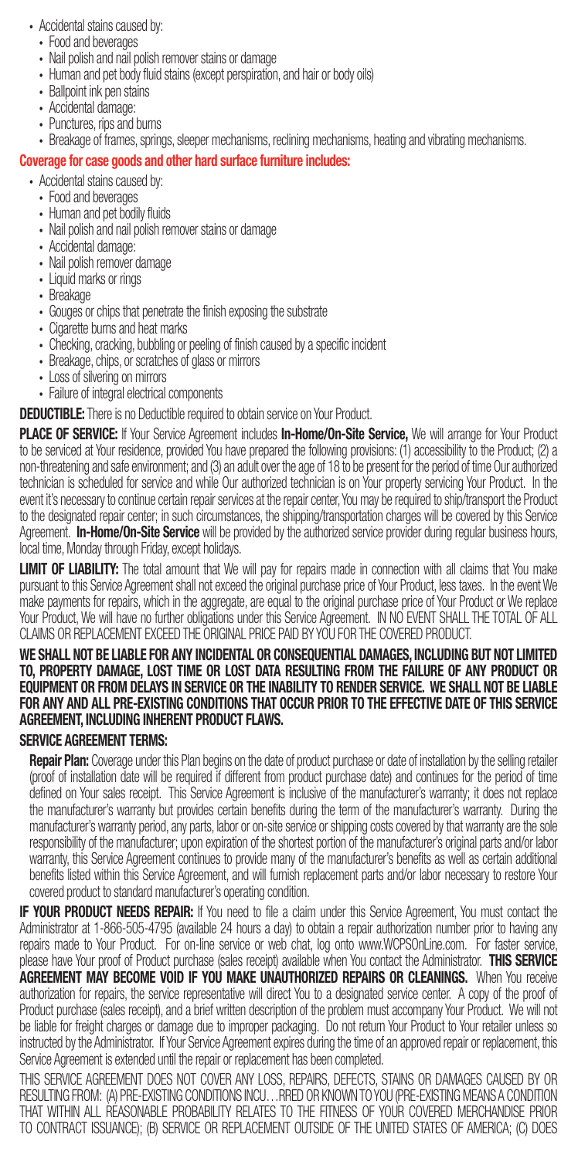- Accidental stains caused by:
	- Food and beverages
	- Nail polish and nail polish remover stains or damage
	- Human and pet body fluid stains (except perspiration, and hair or body oils)
	- Ballpoint ink pen stains
	- Accidental damage:
	- Punctures, rips and burns
- Breakage of frames, springs, sleeper mechanisms, reclining mechanisms, heating and vibrating mechanisms.

### Coverage for case goods and other hard surface furniture includes:

- Accidental stains caused by:
	- Food and beverages
	- Human and pet bodily fluids
	- Nail polish and nail polish remover stains or damage
	- Accidental damage:
	- Nail polish remover damage
	- Liquid marks or rings
	- Breakage
	- Gouges or chips that penetrate the finish exposing the substrate
	- Cigarette burns and heat marks
	- Checking, cracking, bubbling or peeling of finish caused by a specific incident
	- Breakage, chips, or scratches of glass or mirrors
	- Loss of silvering on mirrors
	- Failure of integral electrical components

#### DEDUCTIBLE: There is no Deductible required to obtain service on Your Product.

PLACE OF SERVICE: If Your Service Agreement includes In-Home/On-Site Service, We will arrange for Your Product to be serviced at Your residence, provided You have prepared the following provisions: (1) accessibility to the Product; (2) a non-threatening and safe environment; and (3) an adult over the age of 18 to be present for the period of time Our authorized technician is scheduled for service and while Our authorized technician is on Your property servicing Your Product. In the event it's necessary to continue certain repair services at the repair center, You may be required to ship/transport the Product to the designated repair center; in such circumstances, the shipping/transportation charges will be covered by this Service Agreement. In-Home/On-Site Service will be provided by the authorized service provider during regular business hours, local time, Monday through Friday, except holidays.

LIMIT OF LIABILITY: The total amount that We will pay for repairs made in connection with all claims that You make pursuant to this Service Agreement shall not exceed the original purchase price of Your Product, less taxes. In the event We make payments for repairs, which in the aggregate, are equal to the original purchase price of Your Product or We replace Your Product, We will have no further obligations under this Service Agreement. IN NO EVENT SHALL THE TOTAL OF ALL CLAIMS OR REPLACEMENT EXCEED THE ORIGINAL PRICE PAID BY YOU FOR THE COVERED PRODUCT.

#### WE SHALL NOT BE LIABLE FOR ANY INCIDENTAL OR CONSEQUENTIAL DAMAGES, INCLUDING BUT NOT LIMITED TO, PROPERTY DAMAGE, LOST TIME OR LOST DATA RESULTING FROM THE FAILURE OF ANY PRODUCT OR EQUIPMENT OR FROM DELAYS IN SERVICE OR THE INABILITY TO RENDER SERVICE. WE SHALL NOT BE LIABLE FOR ANY AND ALL PRE-EXISTING CONDITIONS THAT OCCUR PRIOR TO THE EFFECTIVE DATE OF THIS SERVICE AGREEMENT, INCLUDING INHERENT PRODUCT FLAWS.

#### SERVICE AGREEMENT TERMS:

Repair Plan: Coverage under this Plan begins on the date of product purchase or date of installation by the selling retailer (proof of installation date will be required if different from product purchase date) and continues for the period of time defined on Your sales receipt. This Service Agreement is inclusive of the manufacturer's warranty; it does not replace the manufacturer's warranty but provides certain benefits during the term of the manufacturer's warranty. During the manufacturer's warranty period, any parts, labor or on-site service or shipping costs covered by that warranty are the sole responsibility of the manufacturer; upon expiration of the shortest portion of the manufacturer's original parts and/or labor warranty, this Service Agreement continues to provide many of the manufacturer's benefits as well as certain additional benefits listed within this Service Agreement, and will furnish replacement parts and/or labor necessary to restore Your covered product to standard manufacturer's operating condition.

**IF YOUR PRODUCT NEEDS REPAIR:** If You need to file a claim under this Service Agreement, You must contact the Administrator at 1-866-505-4795 (available 24 hours a day) to obtain a repair authorization number prior to having any repairs made to Your Product. For on-line service or web chat, log onto www.WCPSOnLine.com. For faster service, please have Your proof of Product purchase (sales receipt) available when You contact the Administrator. THIS SERVICE AGREEMENT MAY BECOME VOID IF YOU MAKE UNAUTHORIZED REPAIRS OR CLEANINGS. When You receive authorization for repairs, the service representative will direct You to a designated service center. A copy of the proof of Product purchase (sales receipt), and a brief written description of the problem must accompany Your Product. We will not be liable for freight charges or damage due to improper packaging. Do not return Your Product to Your retailer unless so instructed by the Administrator. If Your Service Agreement expires during the time of an approved repair or replacement, this Service Agreement is extended until the repair or replacement has been completed.

THIS SERVICE AGREEMENT DOES NOT COVER ANY LOSS, REPAIRS, DEFECTS, STAINS OR DAMAGES CAUSED BY OR RESULTING FROM: (A) PRE-EXISTING CONDITIONS INCU…RRED OR KNOWN TO YOU (PRE-EXISTING MEANS A CONDITION THAT WITHIN ALL REASONABLE PROBABILITY RELATES TO THE FITNESS OF YOUR COVERED MERCHANDISE PRIOR TO CONTRACT ISSUANCE); (B) SERVICE OR REPLACEMENT OUTSIDE OF THE UNITED STATES OF AMERICA; (C) DOES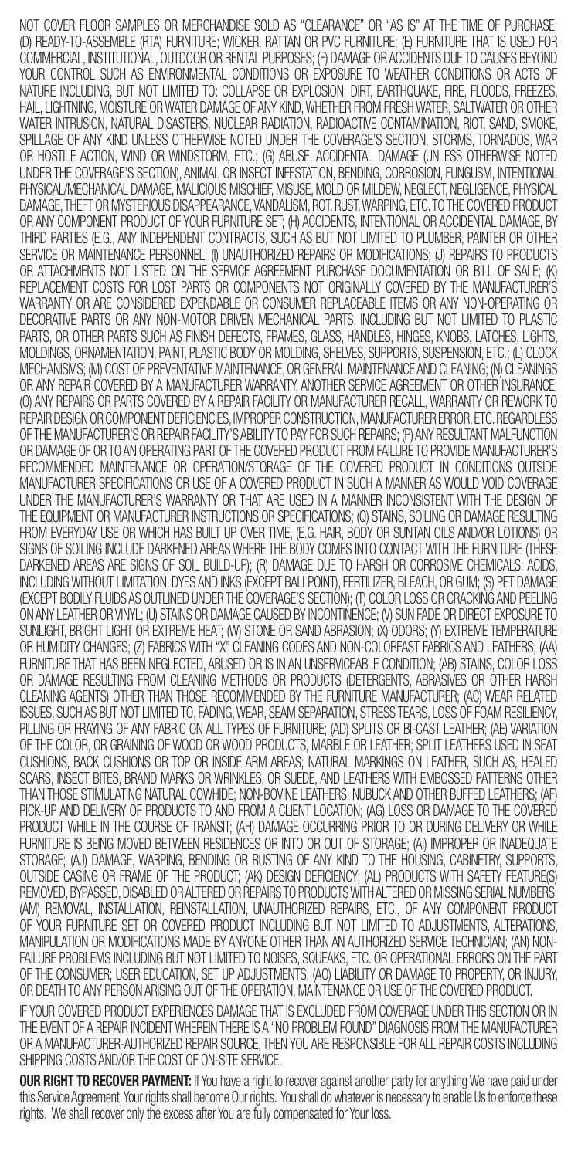NOT COVER FLOOR SAMPLES OR MERCHANDISE SOLD AS "CLEARANCE" OR "AS IS" AT THE TIME OF PURCHASE; (D) READY-TO-ASSEMBLE (RTA) FURNITURE; WICKER, RATTAN OR PVC FURNITURE; (E) FURNITURE THAT IS USED FOR COMMERCIAL, INSTITUTIONAL, OUTDOOR OR RENTAL PURPOSES; (F) DAMAGE OR ACCIDENTS DUE TO CAUSES BEYOND YOUR CONTROL SUCH AS ENVIRONMENTAL CONDITIONS OR EXPOSURE TO WEATHER CONDITIONS OR ACTS OF NATURE INCLUDING, BUT NOT LIMITED TO: COLLAPSE OR EXPLOSION; DIRT, EARTHQUAKE, FIRE, FLOODS, FREEZES, HAIL, LIGHTNING, MOISTURE OR WATER DAMAGE OF ANY KIND, WHETHER FROM FRESH WATER, SALTWATER OR OTHER WATER INTRUSION, NATURAL DISASTERS, NUCLEAR RADIATION, RADIOACTIVE CONTAMINATION, RIOT, SAND, SMOKE, SPILLAGE OF ANY KIND UNLESS OTHERWISE NOTED UNDER THE COVERAGE'S SECTION, STORMS, TORNADOS, WAR OR HOSTILE ACTION, WIND OR WINDSTORM, ETC.; (G) ABUSE, ACCIDENTAL DAMAGE (UNLESS OTHERWISE NOTED UNDER THE COVERAGE'S SECTION), ANIMAL OR INSECT INFESTATION, BENDING, CORROSION, FUNGUSM, INTENTIONAL PHYSICAL/MECHANICAL DAMAGE, MALICIOUS MISCHIEF, MISUSE, MOLD OR MILDEW, NEGLECT, NEGLIGENCE, PHYSICAL DAMAGE, THEFT OR MYSTERIOUS DISAPPEARANCE, VANDALISM, ROT, RUST, WARPING, ETC. TO THE COVERED PRODUCT OR ANY COMPONENT PRODUCT OF YOUR FURNITURE SET; (H) ACCIDENTS, INTENTIONAL OR ACCIDENTAL DAMAGE, BY THIRD PARTIES (E.G., ANY INDEPENDENT CONTRACTS, SUCH AS BUT NOT LIMITED TO PLUMBER, PAINTER OR OTHER SERVICE OR MAINTENANCE PERSONNEL; (I) UNAUTHORIZED REPAIRS OR MODIFICATIONS; (J) REPAIRS TO PRODUCTS<br>OR ATTACHMENTS NOT LISTED ON THE SERVICE AGREEMENT PURCHASE DOCUMENTATION OR BILL OF SALE; (K) REPLACEMENT COSTS FOR LOST PARTS OR COMPONENTS NOT ORIGINALLY COVERED BY THE MANUFACTURER'S WARRANTY OR ARE CONSIDERED EXPENDABLE OR CONSUMER REPLACEABLE ITEMS OR ANY NON-OPERATING OR DECORATIVE PARTS OR ANY NON-MOTOR DRIVEN MECHANICAL PARTS, INCLUDING BUT NOT LIMITED TO PLASTIC PARTS, OR OTHER PARTS SUCH AS FINISH DEFECTS, FRAMES, GLASS, HANDLES, HINGES, KNOBS, LATCHES, LIGHTS, MOLDINGS, ORNAMENTATION, PAINT, PLASTIC BODY OR MOLDING, SHELVES, SUPPORTS, SUSPENSION, ETC.; (L) CLOCK MECHANISMS; (M) COST OF PREVENTATIVE MAINTENANCE, OR GENERAL MAINTENANCE AND CLEANING; (N) CLEANINGS OR ANY REPAIR COVERED BY A MANUFACTURER WARRANTY, ANOTHER SERVICE AGREEMENT OR OTHER INSURANCE; (O) ANY REPAIRS OR PARTS COVERED BY A REPAIR FACILITY OR MANUFACTURER RECALL, WARRANTY OR REWORK TO REPAIR DESIGN OR COMPONENT DEFICIENCIES, IMPROPER CONSTRUCTION, MANUFACTURER ERROR, ETC. REGARDLESS OF THE MANUFACTURER'S OR REPAIR FACILITY'S ABILITY TO PAY FOR SUCH REPAIRS; (P) ANY RESULTANT MALFUNCTION OR DAMAGE OF OR TO AN OPERATING PART OF THE COVERED PRODUCT FROM FAILURE TO PROVIDE MANUFACTURER'S RECOMMENDED MAINTENANCE OR OPERATION/STORAGE OF THE COVERED PRODUCT IN CONDITIONS OUTSIDE MANUFACTURER SPECIFICATIONS OR USE OF A COVERED PRODUCT IN SUCH A MANNER AS WOULD VOID COVERAGE UNDER THE MANUFACTURER'S WARRANTY OR THAT ARE USED IN A MANNER INCONSISTENT WITH THE DESIGN OF THE EQUIPMENT OR MANUFACTURER INSTRUCTIONS OR SPECIFICATIONS; (Q) STAINS, SOILING OR DAMAGE RESULTING FROM EVERYDAY USE OR WHICH HAS BUILT UP OVER TIME, (E.G. HAIR, BODY OR SUNTAN OILS AND/OR LOTIONS) OR SIGNS OF SOILING INCLUDE DARKENED AREAS WHERE THE BODY COMES INTO CONTACT WITH THE FURNITURE (THESE DARKENED AREAS ARE SIGNS OF SOIL BUILD-UP); (R) DAMAGE DUE TO HARSH OR CORROSIVE CHEMICALS; ACIDS, INCLUDING WITHOUT LIMITATION, DYES AND INKS (EXCEPT BALLPOINT), FERTILIZER, BLEACH, OR GUM; (S) PET DAMAGE (EXCEPT BODILY FLUIDS AS OUTLINED UNDER THE COVERAGE'S SECTION); (T) COLOR LOSS OR CRACKING AND PEELING ON ANY LEATHER OR VINYL; (U) STAINS OR DAMAGE CAUSED BY INCONTINENCE; (V) SUN FADE OR DIRECT EXPOSURE TO SUNLIGHT, BRIGHT LIGHT OR EXTREME HEAT; (W) STONE OR SAND ABRASION; (X) ODORS; (Y) EXTREME TEMPERATURE OR HUMIDITY CHANGES; (Z) FABRICS WITH "X" CLEANING CODES AND NON-COLORFAST FABRICS AND LEATHERS; (AA) FURNITURE THAT HAS BEEN NEGLECTED, ABUSED OR IS IN AN UNSERVICEABLE CONDITION; (AB) STAINS, COLOR LOSS OR DAMAGE RESULTING FROM CLEANING METHODS OR PRODUCTS (DETERGENTS, ABRASIVES OR OTHER HARSH CLEANING AGENTS) OTHER THAN THOSE RECOMMENDED BY THE FURNITURE MANUFACTURER; (AC) WEAR RELATED ISSUES, SUCH AS BUT NOT LIMITED TO, FADING, WEAR, SEAM SEPARATION, STRESS TEARS, LOSS OF FOAM RESILIENCY, PILLING OR FRAYING OF ANY FABRIC ON ALL TYPES OF FURNITURE; (AD) SPLITS OR BI-CAST LEATHER; (AE) VARIATION OF THE COLOR, OR GRAINING OF WOOD OR WOOD PRODUCTS, MARBLE OR LEATHER; SPLIT LEATHERS USED IN SEAT CUSHIONS, BACK CUSHIONS OR TOP OR INSIDE ARM AREAS; NATURAL MARKINGS ON LEATHER, SUCH AS, HEALED SCARS, INSECT BITES, BRAND MARKS OR WRINKLES, OR SUEDE, AND LEATHERS WITH EMBOSSED PATTERNS OTHER THAN THOSE STIMULATING NATURAL COWHIDE; NON-BOVINE LEATHERS; NUBUCK AND OTHER BUFFED LEATHERS; (AF) PICK-UP AND DELIVERY OF PRODUCTS TO AND FROM A CLIENT LOCATION; (AG) LOSS OR DAMAGE TO THE COVERED PRODUCT WHILE IN THE COURSE OF TRANSIT; (AH) DAMAGE OCCURRING PRIOR TO OR DURING DELIVERY OR WHILE FURNITURE IS BEING MOVED BETWEEN RESIDENCES OR INTO OR OUT OF STORAGE; (AI) IMPROPER OR INADEQUATE STORAGE; (AJ) DAMAGE, WARPING, BENDING OR RUSTING OF ANY KIND TO THE HOUSING, CABINETRY, SUPPORTS, OUTSIDE CASING OR FRAME OF THE PRODUCT; (AK) DESIGN DEFICIENCY; (AL) PRODUCTS WITH SAFETY FEATURE(S) REMOVED, BYPASSED, DISABLED OR ALTERED OR REPAIRS TO PRODUCTS WITH ALTERED OR MISSING SERIAL NUMBERS; (AM) REMOVAL, INSTALLATION, REINSTALLATION, UNAUTHORIZED REPAIRS, ETC., OF ANY COMPONENT PRODUCT OF YOUR FURNITURE SET OR COVERED PRODUCT INCLUDING BUT NOT LIMITED TO ADJUSTMENTS, ALTERATIONS, MANIPULATION OR MODIFICATIONS MADE BY ANYONE OTHER THAN AN AUTHORIZED SERVICE TECHNICIAN; (AN) NON-FAILURE PROBLEMS INCLUDING BUT NOT LIMITED TO NOISES, SQUEAKS, ETC. OR OPERATIONAL ERRORS ON THE PART OF THE CONSUMER; USER EDUCATION, SET UP ADJUSTMENTS; (AO) LIABILITY OR DAMAGE TO PROPERTY, OR INJURY, OR DEATH TO ANY PERSON ARISING OUT OF THE OPERATION, MAINTENANCE OR USE OF THE COVERED PRODUCT.

IF YOUR COVERED PRODUCT EXPERIENCES DAMAGE THAT IS EXCLUDED FROM COVERAGE UNDER THIS SECTION OR IN THE EVENT OF A REPAIR INCIDENT WHEREIN THERE IS A "NO PROBLEM FOUND" DIAGNOSIS FROM THE MANUFACTURER OR A MANUFACTURER-AUTHORIZED REPAIR SOURCE, THEN YOU ARE RESPONSIBLE FOR ALL REPAIR COSTS INCLUDING SHIPPING COSTS AND/OR THE COST OF ON-SITE SERVICE.

**OUR RIGHT TO RECOVER PAYMENT:** If You have a right to recover against another party for anything We have paid under this Service Agreement, Your rights shall become Our rights. You shall do whatever is necessary to enable Us to enforce these rights. We shall recover only the excess after You are fully compensated for Your loss.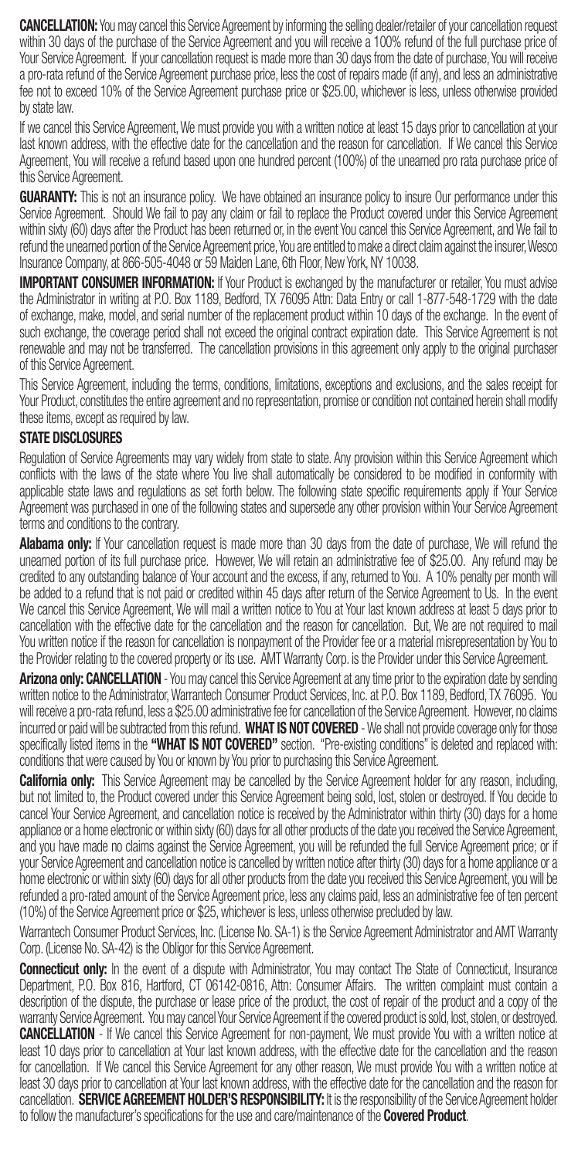CANCELLATION: You may cancel this Service Agreement by informing the selling dealer/retailer of your cancellation request within 30 days of the purchase of the Service Agreement and you will receive a 100% refund of the full purchase price of Your Service Agreement. If your cancellation request is made more than 30 days from the date of purchase, You will receive a pro-rata refund of the Service Agreement purchase price, less the cost of repairs made (if any), and less an administrative fee not to exceed 10% of the Service Agreement purchase price or \$25.00, whichever is less, unless otherwise provided by state law.

If we cancel this Service Agreement, We must provide you with a written notice at least 15 days prior to cancellation at your last known address, with the effective date for the cancellation and the reason for cancellation. If We cancel this Service Agreement, You will receive a refund based upon one hundred percent (100%) of the unearned pro rata purchase price of this Service Agreement.

**GUARANTY:** This is not an insurance policy. We have obtained an insurance policy to insure Our performance under this Service Agreement. Should We fail to pay any claim or fail to replace the Product covered under this Service Agreement within sixty (60) days after the Product has been returned or, in the event You cancel this Service Agreement, and We fail to refund the unearned portion of the Service Agreement price, You are entitled to make a direct claim against the insurer, Wesco Insurance Company, at 866-505-4048 or 59 Maiden Lane, 6th Floor, New York, NY 10038.

**IMPORTANT CONSUMER INFORMATION:** If Your Product is exchanged by the manufacturer or retailer, You must advise the Administrator in writing at P.O. Box 1189, Bedford, TX 76095 Attn: Data Entry or call 1-877-548-1729 with the date of exchange, make, model, and serial number of the replacement product within 10 days of the exchange. In the event of such exchange, the coverage period shall not exceed the original contract expiration date. This Service Agreement is not renewable and may not be transferred. The cancellation provisions in this agreement only apply to the original purchaser of this Service Agreement.

This Service Agreement, including the terms, conditions, limitations, exceptions and exclusions, and the sales receipt for Your Product, constitutes the entire agreement and no representation, promise or condition not contained herein shall modify these items, except as required by law.

# STATE DISCLOSURES

Regulation of Service Agreements may vary widely from state to state. Any provision within this Service Agreement which conflicts with the laws of the state where You live shall automatically be considered to be modified in conformity with applicable state laws and regulations as set forth below. The following state specific requirements apply if Your Service Agreement was purchased in one of the following states and supersede any other provision within Your Service Agreement terms and conditions to the contrary.

**Alabama only:** If Your cancellation request is made more than 30 days from the date of purchase. We will refund the unearned portion of its full purchase price. However, We will retain an administrative fee of \$25.00. Any refund may be credited to any outstanding balance of Your account and the excess, if any, returned to You. A 10% penalty per month will be added to a refund that is not paid or credited within 45 days after return of the Service Agreement to Us. In the event We cancel this Service Agreement, We will mail a written notice to You at Your last known address at least 5 days prior to cancellation with the effective date for the cancellation and the reason for cancellation. But, We are not required to mail You written notice if the reason for cancellation is nonpayment of the Provider fee or a material misrepresentation by You to the Provider relating to the covered property or its use. AMT Warranty Corp. is the Provider under this Service Agreement.

Arizona only: CANCELLATION - You may cancel this Service Agreement at any time prior to the expiration date by sending written notice to the Administrator, Warrantech Consumer Product Services, Inc. at P.O. Box 1189, Bedford, TX 76095. You will receive a pro-rata refund, less a \$25.00 administrative fee for cancellation of the Service Agreement. However, no claims incurred or paid will be subtracted from this refund. WHAT IS NOT COVERED - We shall not provide coverage only for those specifically listed items in the "WHAT IS NOT COVERED" section. "Pre-existing conditions" is deleted and replaced with: conditions that were caused by You or known by You prior to purchasing this Service Agreement.

California only: This Service Agreement may be cancelled by the Service Agreement holder for any reason, including, but not limited to, the Product covered under this Service Agreement being sold, lost, stolen or destroyed. If You decide to cancel Your Service Agreement, and cancellation notice is received by the Administrator within thirty (30) days for a home appliance or a home electronic or within sixty (60) days for all other products of the date you received the Service Agreement, and you have made no claims against the Service Agreement, you will be refunded the full Service Agreement price; or if your Service Agreement and cancellation notice is cancelled by written notice after thirty (30) days for a home appliance or a home electronic or within sixty (60) days for all other products from the date you received this Service Agreement, you will be refunded a pro-rated amount of the Service Agreement price, less any claims paid, less an administrative fee of ten percent (10%) of the Service Agreement price or \$25, whichever is less, unless otherwise precluded by law.

Warrantech Consumer Product Services, Inc. (License No. SA-1) is the Service Agreement Administrator and AMT Warranty Corp. (License No. SA-42) is the Obligor for this Service Agreement.

Connecticut only: In the event of a dispute with Administrator, You may contact The State of Connecticut, Insurance Department, P.O. Box 816, Hartford, CT 06142-0816, Attn: Consumer Affairs. The written complaint must contain a description of the dispute, the purchase or lease price of the product, the cost of repair of the product and a copy of the warranty Service Agreement. You may cancel Your Service Agreement if the covered product is sold, lost, stolen, or destroyed. CANCELLATION - If We cancel this Service Agreement for non-payment, We must provide You with a written notice at least 10 days prior to cancellation at Your last known address, with the effective date for the cancellation and the reason for cancellation. If We cancel this Service Agreement for any other reason, We must provide You with a written notice at least 30 days prior to cancellation at Your last known address, with the effective date for the cancellation and the reason for cancellation. SERVICE AGREEMENT HOLDER'S RESPONSIBILITY: It is the responsibility of the Service Agreement holder to follow the manufacturer's specifications for the use and care/maintenance of the **Covered Product**.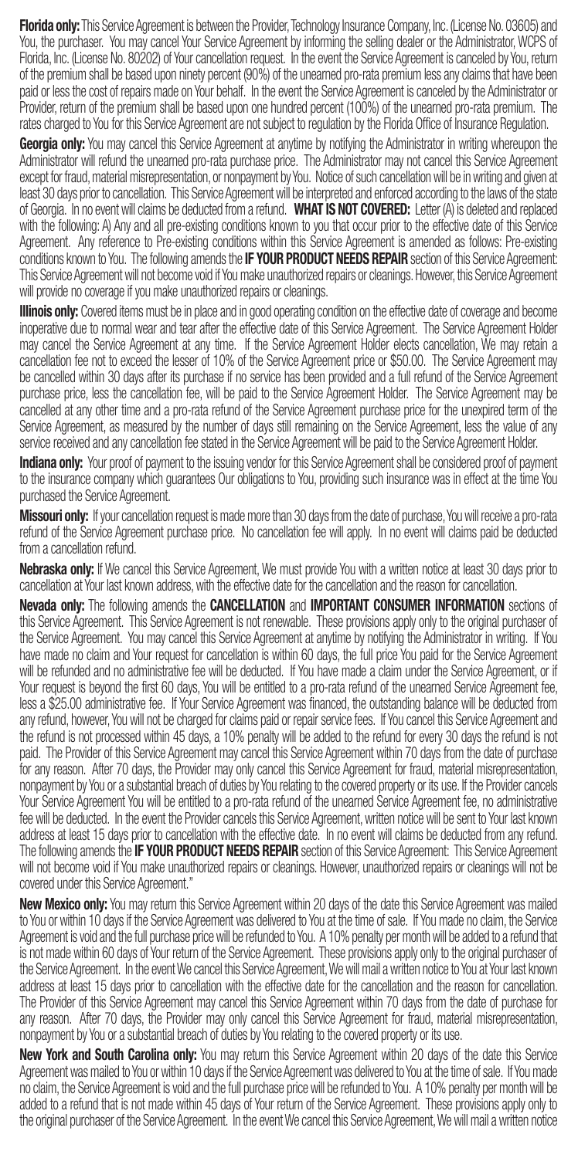Florida only: This Service Agreement is between the Provider, Technology Insurance Company, Inc. (License No. 03605) and You, the purchaser. You may cancel Your Service Agreement by informing the selling dealer or the Administrator, WCPS of Florida, Inc. (License No. 80202) of Your cancellation request. In the event the Service Agreement is canceled by You, return of the premium shall be based upon ninety percent (90%) of the unearned pro-rata premium less any claims that have been paid or less the cost of repairs made on Your behalf. In the event the Service Agreement is canceled by the Administrator or Provider, return of the premium shall be based upon one hundred percent (100%) of the unearned pro-rata premium. The rates charged to You for this Service Agreement are not subject to regulation by the Florida Office of Insurance Regulation.

Georgia only: You may cancel this Service Agreement at anytime by notifying the Administrator in writing whereupon the Administrator will refund the unearned pro-rata purchase price. The Administrator may not cancel this Service Agreement except for fraud, material misrepresentation, or nonpayment by You. Notice of such cancellation will be in writing and given at least 30 days prior to cancellation. This Service Agreement will be interpreted and enforced according to the laws of the state of Georgia. In no event will claims be deducted from a refund. WHAT IS NOT COVERED: Letter (A) is deleted and replaced with the following: A) Any and all pre-existing conditions known to you that occur prior to the effective date of this Service Agreement. Any reference to Pre-existing conditions within this Service Agreement is amended as follows: Pre-existing conditions known to You. The following amends the IF YOUR PRODUCT NEEDS REPAIR section of this Service Agreement: This Service Agreement will not become void if You make unauthorized repairs or cleanings. However, this Service Agreement will provide no coverage if you make unauthorized repairs or cleanings.

**Illinois only:** Covered items must be in place and in good operating condition on the effective date of coverage and become inoperative due to normal wear and tear after the effective date of this Service Agreement. The Service Agreement Holder may cancel the Service Agreement at any time. If the Service Agreement Holder elects cancellation, We may retain a cancellation fee not to exceed the lesser of 10% of the Service Agreement price or \$50.00. The Service Agreement may be cancelled within 30 days after its purchase if no service has been provided and a full refund of the Service Agreement purchase price, less the cancellation fee, will be paid to the Service Agreement Holder. The Service Agreement may be cancelled at any other time and a pro-rata refund of the Service Agreement purchase price for the unexpired term of the Service Agreement, as measured by the number of days still remaining on the Service Agreement, less the value of any service received and any cancellation fee stated in the Service Agreement will be paid to the Service Agreement Holder.

**Indiana only:** Your proof of payment to the issuing vendor for this Service Agreement shall be considered proof of payment to the insurance company which guarantees Our obligations to You, providing such insurance was in effect at the time You purchased the Service Agreement.

Missouri only: If your cancellation request is made more than 30 days from the date of purchase, You will receive a pro-rata refund of the Service Agreement purchase price. No cancellation fee will apply. In no event will claims paid be deducted from a cancellation refund.

Nebraska only: If We cancel this Service Agreement, We must provide You with a written notice at least 30 days prior to cancellation at Your last known address, with the effective date for the cancellation and the reason for cancellation.

Nevada only: The following amends the CANCELLATION and IMPORTANT CONSUMER INFORMATION sections of this Service Agreement. This Service Agreement is not renewable. These provisions apply only to the original purchaser of the Service Agreement. You may cancel this Service Agreement at anytime by notifying the Administrator in writing. If You have made no claim and Your request for cancellation is within 60 days, the full price You paid for the Service Agreement will be refunded and no administrative fee will be deducted. If You have made a claim under the Service Agreement, or if Your request is beyond the first 60 days, You will be entitled to a pro-rata refund of the unearned Service Agreement fee, less a \$25.00 administrative fee. If Your Service Agreement was financed, the outstanding balance will be deducted from any refund, however, You will not be charged for claims paid or repair service fees. If You cancel this Service Agreement and the refund is not processed within 45 days, a 10% penalty will be added to the refund for every 30 days the refund is not paid. The Provider of this Service Agreement may cancel this Service Agreement within 70 days from the date of purchase for any reason. After 70 days, the Provider may only cancel this Service Agreement for fraud, material misrepresentation, nonpayment by You or a substantial breach of duties by You relating to the covered property or its use. If the Provider cancels Your Service Agreement You will be entitled to a pro-rata refund of the unearned Service Agreement fee, no administrative fee will be deducted. In the event the Provider cancels this Service Agreement, written notice will be sent to Your last known address at least 15 days prior to cancellation with the effective date. In no event will claims be deducted from any refund. The following amends the **IF YOUR PRODUCT NEEDS REPAIR** section of this Service Agreement: This Service Agreement will not become void if You make unauthorized repairs or cleanings. However, unauthorized repairs or cleanings will not be covered under this Service Agreement."

New Mexico only: You may return this Service Agreement within 20 days of the date this Service Agreement was mailed to You or within 10 days if the Service Agreement was delivered to You at the time of sale. If You made no claim, the Service Agreement is void and the full purchase price will be refunded to You. A 10% penalty per month will be added to a refund that is not made within 60 days of Your return of the Service Agreement. These provisions apply only to the original purchaser of the Service Agreement. In the event We cancel this Service Agreement, We will mail a written notice to You at Your last known address at least 15 days prior to cancellation with the effective date for the cancellation and the reason for cancellation. The Provider of this Service Agreement may cancel this Service Agreement within 70 days from the date of purchase for any reason. After 70 days, the Provider may only cancel this Service Agreement for fraud, material misrepresentation, nonpayment by You or a substantial breach of duties by You relating to the covered property or its use.

New York and South Carolina only: You may return this Service Agreement within 20 days of the date this Service Agreement was mailed to You or within 10 days if the Service Agreement was delivered to You at the time of sale. If You made no claim, the Service Agreement is void and the full purchase price will be refunded to You. A 10% penalty per month will be added to a refund that is not made within 45 days of Your return of the Service Agreement. These provisions apply only to the original purchaser of the Service Agreement. In the event We cancel this Service Agreement, We will mail a written notice